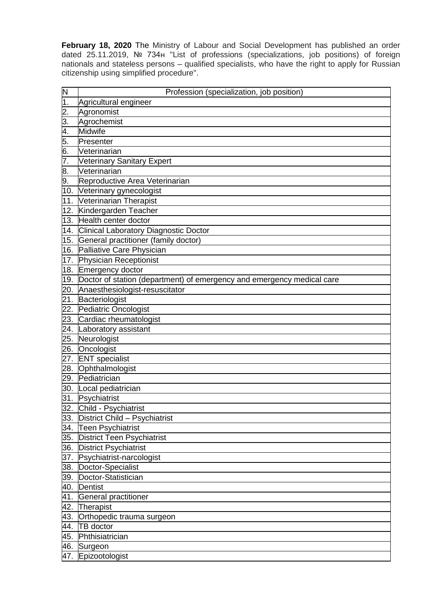**February 18, 2020** The Ministry of Labour and Social Development has published an order dated 25.11.2019, № 734н "List of professions (specializations, job positions) of foreign nationals and stateless persons – qualified specialists, who have the right to apply for Russian citizenship using simplified procedure".

| $\overline{\mathsf{N}}$ | Profession (specialization, job position)                              |
|-------------------------|------------------------------------------------------------------------|
| $\mathbf 1$ .           | Agricultural engineer                                                  |
| 2.                      | Agronomist                                                             |
| 3.                      | Agrochemist                                                            |
| 4.                      | <b>Midwife</b>                                                         |
| 5.                      | Presenter                                                              |
| 6.                      | Veterinarian                                                           |
| 7.                      | Veterinary Sanitary Expert                                             |
| 8.                      | Veterinarian                                                           |
| 9.                      | Reproductive Area Veterinarian                                         |
| 10.                     | Veterinary gynecologist                                                |
| 11.                     | Veterinarian Therapist                                                 |
| 12.                     | Kindergarden Teacher                                                   |
| 13.                     | Health center doctor                                                   |
| 14.                     | <b>Clinical Laboratory Diagnostic Doctor</b>                           |
| 15.                     | General practitioner (family doctor)                                   |
| 16.                     | Palliative Care Physician                                              |
| 17.                     | Physician Receptionist                                                 |
| 18.                     | Emergency doctor                                                       |
| 19.                     | Doctor of station (department) of emergency and emergency medical care |
| 20.                     | Anaesthesiologist-resuscitator                                         |
| 21.                     | Bacteriologist                                                         |
| 22.                     | Pediatric Oncologist                                                   |
| 23.                     | Cardiac rheumatologist                                                 |
| 24.                     | Laboratory assistant                                                   |
| 25.                     | Neurologist                                                            |
| 26.                     | Oncologist                                                             |
| 27.                     | <b>ENT</b> specialist                                                  |
| 28.                     | Ophthalmologist                                                        |
| 29.                     | Pediatrician                                                           |
| 30.                     | Local pediatrician                                                     |
| 31.                     | Psychiatrist                                                           |
| 32.                     | Child - Psychiatrist                                                   |
| 33.                     | District Child - Psychiatrist                                          |
| 34.                     | <b>Teen Psychiatrist</b>                                               |
| 35.                     | <b>District Teen Psychiatrist</b>                                      |
| 36.                     | <b>District Psychiatrist</b>                                           |
| 37.                     | Psychiatrist-narcologist                                               |
| 38.                     | Doctor-Specialist                                                      |
| 39.                     | Doctor-Statistician                                                    |
| 40.                     | <b>Dentist</b>                                                         |
| 41.                     | General practitioner                                                   |
| 42.                     | Therapist                                                              |
| 43.                     | Orthopedic trauma surgeon                                              |
| 44.                     | <b>TB</b> doctor                                                       |
| 45.                     | Phthisiatrician                                                        |
| 46.                     | Surgeon                                                                |
| 47.                     | Epizootologist                                                         |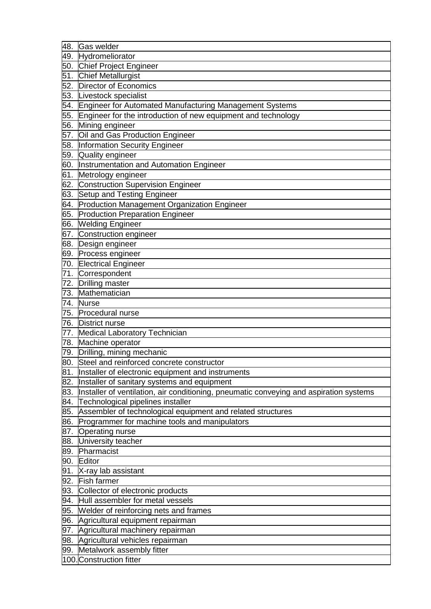| 48. | Gas welder                                                                             |
|-----|----------------------------------------------------------------------------------------|
|     | 49. Hydromeliorator                                                                    |
|     | 50. Chief Project Engineer                                                             |
|     | 51. Chief Metallurgist                                                                 |
|     | 52. Director of Economics                                                              |
|     | 53. Livestock specialist                                                               |
|     | 54. Engineer for Automated Manufacturing Management Systems                            |
|     | 55. Engineer for the introduction of new equipment and technology                      |
| 56. | Mining engineer                                                                        |
| 57. | Oil and Gas Production Engineer                                                        |
|     | 58. Information Security Engineer                                                      |
| 59. | Quality engineer                                                                       |
| 60. | Instrumentation and Automation Engineer                                                |
| 61. | Metrology engineer                                                                     |
| 62. | <b>Construction Supervision Engineer</b>                                               |
| 63. | Setup and Testing Engineer                                                             |
| 64. | Production Management Organization Engineer                                            |
|     | 65. Production Preparation Engineer                                                    |
| 66. | <b>Welding Engineer</b>                                                                |
| 67. | Construction engineer                                                                  |
| 68. | Design engineer                                                                        |
|     | 69. Process engineer                                                                   |
|     | 70. Electrical Engineer                                                                |
| 71. | Correspondent                                                                          |
|     | 72. Drilling master                                                                    |
| 73. | Mathematician                                                                          |
| 74. | <b>Nurse</b>                                                                           |
| 75. | Procedural nurse                                                                       |
| 76. | <b>District nurse</b>                                                                  |
| 77. | <b>Medical Laboratory Technician</b>                                                   |
| 78. | Machine operator                                                                       |
|     | 79. Drilling, mining mechanic                                                          |
|     | 80. Steel and reinforced concrete constructor                                          |
| 81. | Installer of electronic equipment and instruments                                      |
| 82. | Installer of sanitary systems and equipment                                            |
| 83. | Installer of ventilation, air conditioning, pneumatic conveying and aspiration systems |
| 84. | Technological pipelines installer                                                      |
| 85. | Assembler of technological equipment and related structures                            |
| 86. | Programmer for machine tools and manipulators                                          |
| 87. | Operating nurse                                                                        |
| 88. | University teacher                                                                     |
| 89. | Pharmacist                                                                             |
| 90. | Editor                                                                                 |
| 91. | X-ray lab assistant                                                                    |
| 92. | <b>Fish farmer</b>                                                                     |
| 93. | Collector of electronic products                                                       |
| 94. | Hull assembler for metal vessels                                                       |
| 95. | Welder of reinforcing nets and frames                                                  |
| 96. | Agricultural equipment repairman                                                       |
|     | 97. Agricultural machinery repairman                                                   |
| 98. | Agricultural vehicles repairman                                                        |
| 99. | Metalwork assembly fitter                                                              |
|     | 100. Construction fitter                                                               |